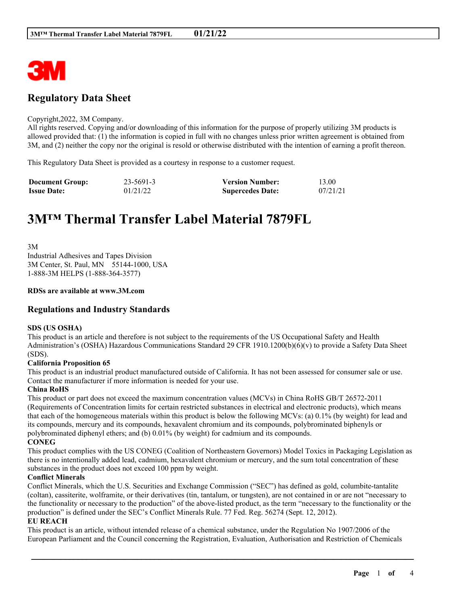

# **Regulatory Data Sheet**

#### Copyright,2022, 3M Company.

All rights reserved. Copying and/or downloading of this information for the purpose of properly utilizing 3M products is allowed provided that: (1) the information is copied in full with no changes unless prior written agreement is obtained from 3M, and (2) neither the copy nor the original is resold or otherwise distributed with the intention of earning a profit thereon.

This Regulatory Data Sheet is provided as a courtesy in response to a customer request.

| <b>Document Group:</b> | 23-5691-3 | <b>Version Number:</b>  | 13.00    |
|------------------------|-----------|-------------------------|----------|
| <b>Issue Date:</b>     | 01/21/22  | <b>Supercedes Date:</b> | 07/21/21 |

# **3M™ Thermal Transfer Label Material 7879FL**

3M Industrial Adhesives and Tapes Division 3M Center, St. Paul, MN 55144-1000, USA 1-888-3M HELPS (1-888-364-3577)

# **RDSs are available at www.3M.com**

# **Regulations and Industry Standards**

#### **SDS (US OSHA)**

This product is an article and therefore is not subject to the requirements of the US Occupational Safety and Health Administration's (OSHA) Hazardous Communications Standard 29 CFR 1910.1200(b)(6)(v) to provide a Safety Data Sheet (SDS).

#### **California Proposition 65**

This product is an industrial product manufactured outside of California. It has not been assessed for consumer sale or use. Contact the manufacturer if more information is needed for your use.

#### **China RoHS**

This product or part does not exceed the maximum concentration values (MCVs) in China RoHS GB/T 26572-2011 (Requirements of Concentration limits for certain restricted substances in electrical and electronic products), which means that each of the homogeneous materials within this product is below the following MCVs: (a) 0.1% (by weight) for lead and its compounds, mercury and its compounds, hexavalent chromium and its compounds, polybrominated biphenyls or polybrominated diphenyl ethers; and (b) 0.01% (by weight) for cadmium and its compounds. **CONEG**

This product complies with the US CONEG (Coalition of Northeastern Governors) Model Toxics in Packaging Legislation as there is no intentionally added lead, cadmium, hexavalent chromium or mercury, and the sum total concentration of these substances in the product does not exceed 100 ppm by weight.

#### **Conflict Minerals**

Conflict Minerals, which the U.S. Securities and Exchange Commission ("SEC") has defined as gold, columbite-tantalite (coltan), cassiterite, wolframite, or their derivatives (tin, tantalum, or tungsten), are not contained in or are not "necessary to the functionality or necessary to the production" of the above-listed product, as the term "necessary to the functionality or the production" is defined under the SEC's Conflict Minerals Rule. 77 Fed. Reg. 56274 (Sept. 12, 2012).

### **EU REACH**

This product is an article, without intended release of a chemical substance, under the Regulation No 1907/2006 of the European Parliament and the Council concerning the Registration, Evaluation, Authorisation and Restriction of Chemicals

\_\_\_\_\_\_\_\_\_\_\_\_\_\_\_\_\_\_\_\_\_\_\_\_\_\_\_\_\_\_\_\_\_\_\_\_\_\_\_\_\_\_\_\_\_\_\_\_\_\_\_\_\_\_\_\_\_\_\_\_\_\_\_\_\_\_\_\_\_\_\_\_\_\_\_\_\_\_\_\_\_\_\_\_\_\_\_\_\_\_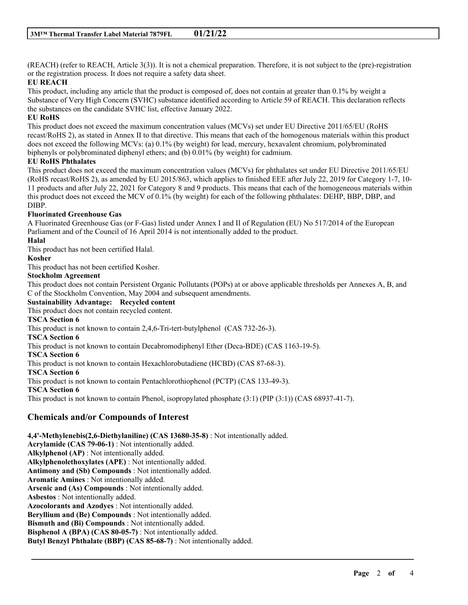(REACH) (refer to REACH, Article 3(3)). It is not a chemical preparation. Therefore, it is not subject to the (pre)-registration or the registration process. It does not require a safety data sheet.

# **EU REACH**

This product, including any article that the product is composed of, does not contain at greater than 0.1% by weight a Substance of Very High Concern (SVHC) substance identified according to Article 59 of REACH. This declaration reflects the substances on the candidate SVHC list, effective January 2022.

# **EU RoHS**

This product does not exceed the maximum concentration values (MCVs) set under EU Directive 2011/65/EU (RoHS recast/RoHS 2), as stated in Annex II to that directive. This means that each of the homogenous materials within this product does not exceed the following MCVs: (a) 0.1% (by weight) for lead, mercury, hexavalent chromium, polybrominated biphenyls or polybrominated diphenyl ethers; and (b) 0.01% (by weight) for cadmium.

# **EU RoHS Phthalates**

This product does not exceed the maximum concentration values (MCVs) for phthalates set under EU Directive 2011/65/EU (RoHS recast/RoHS 2), as amended by EU 2015/863, which applies to finished EEE after July 22, 2019 for Category 1-7, 10- 11 products and after July 22, 2021 for Category 8 and 9 products. This means that each of the homogeneous materials within this product does not exceed the MCV of 0.1% (by weight) for each of the following phthalates: DEHP, BBP, DBP, and DIBP.

# **Fluorinated Greenhouse Gas**

A Fluorinated Greenhouse Gas (or F-Gas) listed under Annex I and II of Regulation (EU) No 517/2014 of the European Parliament and of the Council of 16 April 2014 is not intentionally added to the product.

# **Halal**

This product has not been certified Halal.

# **Kosher**

This product has not been certified Kosher.

# **Stockholm Agreement**

This product does not contain Persistent Organic Pollutants (POPs) at or above applicable thresholds per Annexes A, B, and C of the Stockholm Convention, May 2004 and subsequent amendments.

\_\_\_\_\_\_\_\_\_\_\_\_\_\_\_\_\_\_\_\_\_\_\_\_\_\_\_\_\_\_\_\_\_\_\_\_\_\_\_\_\_\_\_\_\_\_\_\_\_\_\_\_\_\_\_\_\_\_\_\_\_\_\_\_\_\_\_\_\_\_\_\_\_\_\_\_\_\_\_\_\_\_\_\_\_\_\_\_\_\_

**Sustainability Advantage: Recycled content**

This product does not contain recycled content.

# **TSCA Section 6**

This product is not known to contain 2,4,6-Tri-tert-butylphenol (CAS 732-26-3).

# **TSCA Section 6**

This product is not known to contain Decabromodiphenyl Ether (Deca-BDE) (CAS 1163-19-5).

#### **TSCA Section 6**

This product is not known to contain Hexachlorobutadiene (HCBD) (CAS 87-68-3).

**TSCA Section 6**

This product is not known to contain Pentachlorothiophenol (PCTP) (CAS 133-49-3).

**TSCA Section 6**

This product is not known to contain Phenol, isopropylated phosphate (3:1) (PIP (3:1)) (CAS 68937-41-7).

# **Chemicals and/or Compounds of Interest**

**4,4'-Methylenebis(2,6-Diethylaniline) (CAS 13680-35-8)** : Not intentionally added. **Acrylamide (CAS 79-06-1)** : Not intentionally added. **Alkylphenol (AP)** : Not intentionally added. **Alkylphenolethoxylates (APE)** : Not intentionally added. **Antimony and (Sb) Compounds** : Not intentionally added. **Aromatic Amines** : Not intentionally added. **Arsenic and (As) Compounds** : Not intentionally added. **Asbestos** : Not intentionally added. **Azocolorants and Azodyes** : Not intentionally added. **Beryllium and (Be) Compounds** : Not intentionally added. **Bismuth and (Bi) Compounds** : Not intentionally added. **Bisphenol A (BPA) (CAS 80-05-7)** : Not intentionally added. **Butyl Benzyl Phthalate (BBP) (CAS 85-68-7)** : Not intentionally added.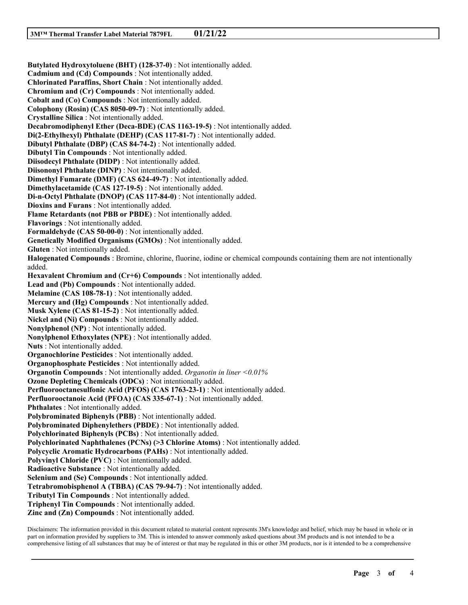**Butylated Hydroxytoluene (BHT) (128-37-0)** : Not intentionally added. **Cadmium and (Cd) Compounds** : Not intentionally added. **Chlorinated Paraffins, Short Chain** : Not intentionally added. **Chromium and (Cr) Compounds** : Not intentionally added. **Cobalt and (Co) Compounds** : Not intentionally added. **Colophony (Rosin) (CAS 8050-09-7)** : Not intentionally added. **Crystalline Silica** : Not intentionally added. **Decabromodiphenyl Ether (Deca-BDE) (CAS 1163-19-5)** : Not intentionally added. **Di(2-Ethylhexyl) Phthalate (DEHP) (CAS 117-81-7)** : Not intentionally added. **Dibutyl Phthalate (DBP) (CAS 84-74-2)** : Not intentionally added. **Dibutyl Tin Compounds** : Not intentionally added. **Diisodecyl Phthalate (DIDP)** : Not intentionally added. **Diisononyl Phthalate (DINP)** : Not intentionally added. **Dimethyl Fumarate (DMF) (CAS 624-49-7)** : Not intentionally added. **Dimethylacetamide (CAS 127-19-5)** : Not intentionally added. **Di-n-Octyl Phthalate (DNOP) (CAS 117-84-0)** : Not intentionally added. **Dioxins and Furans** : Not intentionally added. **Flame Retardants (not PBB or PBDE)** : Not intentionally added. **Flavorings** : Not intentionally added. **Formaldehyde (CAS 50-00-0)** : Not intentionally added. **Genetically Modified Organisms (GMOs)** : Not intentionally added. **Gluten** : Not intentionally added. **Halogenated Compounds** : Bromine, chlorine, fluorine, iodine or chemical compounds containing them are not intentionally added. **Hexavalent Chromium and (Cr+6) Compounds** : Not intentionally added. **Lead and (Pb) Compounds** : Not intentionally added. **Melamine (CAS 108-78-1)** : Not intentionally added. **Mercury and (Hg) Compounds** : Not intentionally added. **Musk Xylene (CAS 81-15-2)** : Not intentionally added. **Nickel and (Ni) Compounds** : Not intentionally added. **Nonylphenol (NP)** : Not intentionally added. **Nonylphenol Ethoxylates (NPE)** : Not intentionally added. **Nuts** : Not intentionally added. **Organochlorine Pesticides** : Not intentionally added. **Organophosphate Pesticides** : Not intentionally added. **Organotin Compounds** : Not intentionally added. *Organotin in liner <0.01%* **Ozone Depleting Chemicals (ODCs)** : Not intentionally added. **Perfluorooctanesulfonic Acid (PFOS) (CAS 1763-23-1)** : Not intentionally added. **Perfluorooctanoic Acid (PFOA) (CAS 335-67-1)** : Not intentionally added. **Phthalates** : Not intentionally added. **Polybrominated Biphenyls (PBB)** : Not intentionally added. **Polybrominated Diphenylethers (PBDE)** : Not intentionally added. **Polychlorinated Biphenyls (PCBs)** : Not intentionally added. **Polychlorinated Naphthalenes (PCNs) (>3 Chlorine Atoms)** : Not intentionally added. **Polycyclic Aromatic Hydrocarbons (PAHs)** : Not intentionally added. **Polyvinyl Chloride (PVC)** : Not intentionally added. **Radioactive Substance** : Not intentionally added. **Selenium and (Se) Compounds** : Not intentionally added. **Tetrabromobisphenol A (TBBA) (CAS 79-94-7)** : Not intentionally added. **Tributyl Tin Compounds** : Not intentionally added. **Triphenyl Tin Compounds** : Not intentionally added. **Zinc and (Zn) Compounds** : Not intentionally added.

Disclaimers: The information provided in this document related to material content represents 3M's knowledge and belief, which may be based in whole or in part on information provided by suppliers to 3M. This is intended to answer commonly asked questions about 3M products and is not intended to be a comprehensive listing of all substances that may be of interest or that may be regulated in this or other 3M products, nor is it intended to be a comprehensive

\_\_\_\_\_\_\_\_\_\_\_\_\_\_\_\_\_\_\_\_\_\_\_\_\_\_\_\_\_\_\_\_\_\_\_\_\_\_\_\_\_\_\_\_\_\_\_\_\_\_\_\_\_\_\_\_\_\_\_\_\_\_\_\_\_\_\_\_\_\_\_\_\_\_\_\_\_\_\_\_\_\_\_\_\_\_\_\_\_\_